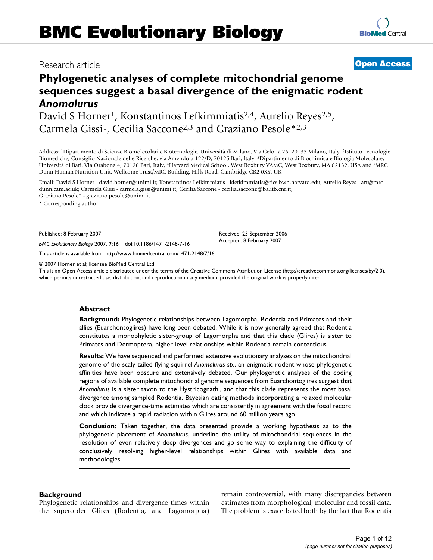## Research article **[Open Access](http://www.biomedcentral.com/info/about/charter/)**

# **Phylogenetic analyses of complete mitochondrial genome sequences suggest a basal divergence of the enigmatic rodent**  *Anomalurus*

David S Horner<sup>1</sup>, Konstantinos Lefkimmiatis<sup>2,4</sup>, Aurelio Reyes<sup>2,5</sup>, Carmela Gissi1, Cecilia Saccone2,3 and Graziano Pesole\*2,3

Address: 1Dipartimento di Scienze Biomolecolari e Biotecnologie, Università di Milano, Via Celoria 26, 20133 Milano, Italy, 2Istituto Tecnologie Biomediche, Consiglio Nazionale delle Ricerche, via Amendola 122/D, 70125 Bari, Italy, 3Dipartimento di Biochimica e Biologia Molecolare, Università di Bari, Via Orabona 4, 70126 Bari, Italy, 4Harvard Medical School, West Roxbury VAMC, West Roxbury, MA 02132, USA and 5MRC Dunn Human Nutrition Unit, Wellcome Trust/MRC Building, Hills Road, Cambridge CB2 0XY, UK

Email: David S Horner - david.horner@unimi.it; Konstantinos Lefkimmiatis - klefkimmiatis@rics.bwh.harvard.edu; Aurelio Reyes - art@mrcdunn.cam.ac.uk; Carmela Gissi - carmela.gissi@unimi.it; Cecilia Saccone - cecilia.saccone@ba.itb.cnr.it; Graziano Pesole\* - graziano.pesole@unimi.it

\* Corresponding author

Published: 8 February 2007

*BMC Evolutionary Biology* 2007, **7**:16 doi:10.1186/1471-2148-7-16

[This article is available from: http://www.biomedcentral.com/1471-2148/7/16](http://www.biomedcentral.com/1471-2148/7/16)

© 2007 Horner et al; licensee BioMed Central Ltd.

This is an Open Access article distributed under the terms of the Creative Commons Attribution License [\(http://creativecommons.org/licenses/by/2.0\)](http://creativecommons.org/licenses/by/2.0), which permits unrestricted use, distribution, and reproduction in any medium, provided the original work is properly cited.

#### **Abstract**

**Background:** Phylogenetic relationships between Lagomorpha, Rodentia and Primates and their allies (Euarchontoglires) have long been debated. While it is now generally agreed that Rodentia constitutes a monophyletic sister-group of Lagomorpha and that this clade (Glires) is sister to Primates and Dermoptera, higher-level relationships within Rodentia remain contentious.

**Results:** We have sequenced and performed extensive evolutionary analyses on the mitochondrial genome of the scaly-tailed flying squirrel *Anomalurus sp*., an enigmatic rodent whose phylogenetic affinities have been obscure and extensively debated. Our phylogenetic analyses of the coding regions of available complete mitochondrial genome sequences from Euarchontoglires suggest that *Anomalurus* is a sister taxon to the Hystricognathi, and that this clade represents the most basal divergence among sampled Rodentia. Bayesian dating methods incorporating a relaxed molecular clock provide divergence-time estimates which are consistently in agreement with the fossil record and which indicate a rapid radiation within Glires around 60 million years ago.

**Conclusion:** Taken together, the data presented provide a working hypothesis as to the phylogenetic placement of *Anomalurus*, underline the utility of mitochondrial sequences in the resolution of even relatively deep divergences and go some way to explaining the difficulty of conclusively resolving higher-level relationships within Glires with available data and methodologies.

#### **Background**

Phylogenetic relationships and divergence times within the superorder Glires (Rodentia, and Lagomorpha) remain controversial, with many discrepancies between estimates from morphological, molecular and fossil data. The problem is exacerbated both by the fact that Rodentia

Received: 25 September 2006 Accepted: 8 February 2007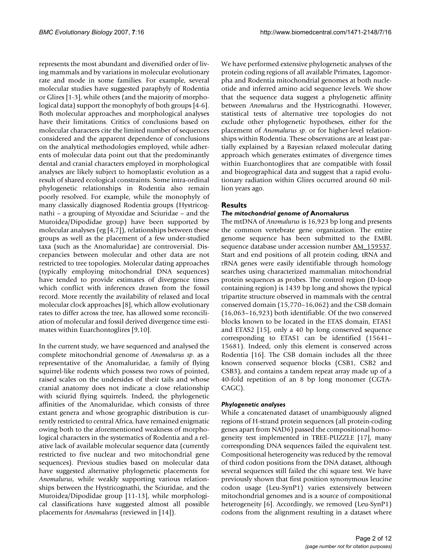represents the most abundant and diversified order of living mammals and by variations in molecular evolutionary rate and mode in some families. For example, several molecular studies have suggested paraphyly of Rodentia or Glires [1-3], while others (and the majority of morphological data) support the monophyly of both groups [4-6]. Both molecular approaches and morphological analyses have their limitations. Critics of conclusions based on molecular characters cite the limited number of sequences considered and the apparent dependence of conclusions on the analytical methodologies employed, while adherents of molecular data point out that the predominantly dental and cranial characters employed in morphological analyses are likely subject to homoplastic evolution as a result of shared ecological constraints. Some intra-ordinal phylogenetic relationships in Rodentia also remain poorly resolved. For example, while the monophyly of many classically diagnosed Rodentia groups (Hystricognathi – a grouping of Myoxidae and Sciuridae – and the Muroidea/Dipodidae group) have been supported by molecular analyses (eg [4,7]), relationships between these groups as well as the placement of a few under-studied taxa (such as the Anomaluridae) are controversial. Discrepancies between molecular and other data are not restricted to tree topologies. Molecular dating approaches (typically employing mitochondrial DNA sequences) have tended to provide estimates of divergence times which conflict with inferences drawn from the fossil record. More recently the availability of relaxed and local molecular clock approaches [8], which allow evolutionary rates to differ across the tree, has allowed some reconciliation of molecular and fossil derived divergence time estimates within Euarchontoglires [9,10].

In the current study, we have sequenced and analysed the complete mitochondrial genome of *Anomalurus sp*. as a representative of the Anomaluridae, a family of flying squirrel-like rodents which possess two rows of pointed, raised scales on the undersides of their tails and whose cranial anatomy does not indicate a close relationship with sciurid flying squirrels. Indeed, the phylogenetic affinities of the Anomaluridae, which consists of three extant genera and whose geographic distribution is currently restricted to central Africa, have remained enigmatic owing both to the aforementioned weakness of morphological characters in the systematics of Rodentia and a relative lack of available molecular sequence data (currently restricted to five nuclear and two mitochondrial gene sequences). Previous studies based on molecular data have suggested alternative phylogenetic placements for *Anomalurus*, while weakly supporting various relationships between the Hystricognathi, the Sciuridae, and the Muroidea/Dipodidae group [11-13], while morphological classifications have suggested almost all possible placements for *Anomalurus* (reviewed in [14]).

We have performed extensive phylogenetic analyses of the protein coding regions of all available Primates, Lagomorpha and Rodentia mitochondrial genomes at both nucleotide and inferred amino acid sequence levels. We show that the sequence data suggest a phylogenetic affinity between *Anomalurus* and the Hystricognathi. However, statistical tests of alternative tree topologies do not exclude other phylogenetic hypotheses, either for the placement of *Anomalurus sp*. or for higher-level relationships within Rodentia. These observations are at least partially explained by a Bayesian relaxed molecular dating approach which generates estimates of divergence times within Euarchontoglires that are compatible with fossil and biogeographical data and suggest that a rapid evolutionary radiation within Glires occurred around 60 million years ago.

### **Results**

#### *The mitochondrial genome of* **Anomalurus**

The mtDNA of *Anomalurus* is 16,923 bp long and presents the common vertebrate gene organization. The entire genome sequence has been submitted to the EMBL sequence database under accession number [AM\\_159537.](http://www.ncbi.nih.gov/entrez/query.fcgi?db=Nucleotide&cmd=search&term=AM_159537) Start and end positions of all protein coding, tRNA and rRNA genes were easily identifiable through homology searches using characterized mammalian mitochondrial protein sequences as probes. The control region (D-loop containing region) is 1439 bp long and shows the typical tripartite structure observed in mammals with the central conserved domain (15,770–16,062) and the CSB domain (16,063–16,923) both identifiable. Of the two conserved blocks known to be located in the ETAS domain, ETAS1 and ETAS2 [15], only a 40 bp long conserved sequence corresponding to ETAS1 can be identified (15641– 15681). Indeed, only this element is conserved across Rodentia [16]. The CSB domain includes all the three known conserved sequence blocks (CSB1, CSB2 and CSB3), and contains a tandem repeat array made up of a 40-fold repetition of an 8 bp long monomer (CGTA-CAGC).

#### *Phylogenetic analyses*

While a concatenated dataset of unambiguously aligned regions of H-strand protein sequences (all protein-coding genes apart from NAD6) passed the compositional homogeneity test implemented in TREE-PUZZLE [17], many corresponding DNA sequences failed the equivalent test. Compositional heterogeneity was reduced by the removal of third codon positions from the DNA dataset, although several sequences still failed the chi square test. We have previously shown that first position synonymous leucine codon usage (Leu-SynP1) varies extensively between mitochondrial genomes and is a source of compositional heterogeneity [6]. Accordingly, we removed (Leu-SynP1) codons from the alignment resulting in a dataset where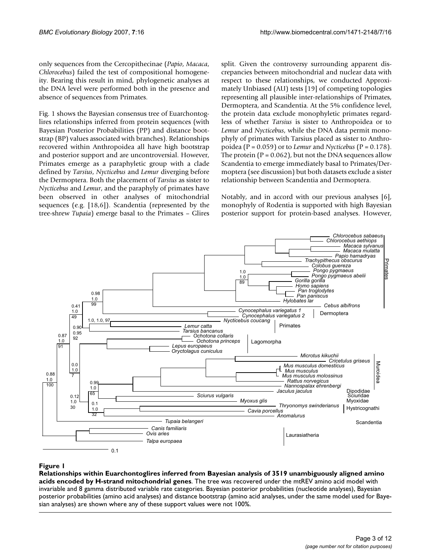only sequences from the Cercopithecinae (*Papio*, *Macaca*, *Chlorocebus*) failed the test of compositional homogeneity. Bearing this result in mind, phylogenetic analyses at the DNA level were performed both in the presence and absence of sequences from Primates.

Fig. 1 shows the Bayesian consensus tree of Euarchontoglires relationships inferred from protein sequences (with Bayesian Posterior Probabilities (PP) and distance bootstrap (BP) values associated with branches). Relationships recovered within Anthropoidea all have high bootstrap and posterior support and are uncontroversial. However, Primates emerge as a paraphyletic group with a clade defined by *Tarsius*, *Nycticebus* and *Lemur* diverging before the Dermoptera. Both the placement of *Tarsius* as sister to *Nycticebus* and *Lemur*, and the paraphyly of primates have been observed in other analyses of mitochondrial sequences (e.g. [18,6]). Scandentia (represented by the tree-shrew *Tupaia*) emerge basal to the Primates – Glires split. Given the controversy surrounding apparent discrepancies between mitochondrial and nuclear data with respect to these relationships, we conducted Approximately Unbiased (AU) tests [19] of competing topologies representing all plausible inter-relationships of Primates, Dermoptera, and Scandentia. At the 5% confidence level, the protein data exclude monophyletic primates regardless of whether *Tarsius* is sister to Anthropoidea or to *Lemur* and *Nycticebus*, while the DNA data permit monophyly of primates with Tarsius placed as sister to Anthropoidea ( $P = 0.059$ ) or to *Lemur* and *Nycticebus* ( $P = 0.178$ ). The protein  $(P = 0.062)$ , but not the DNA sequences allow Scandentia to emerge immediately basal to Primates/Dermoptera (see discussion) but both datasets exclude a sister relationship between Scandentia and Dermoptera.

Notably, and in accord with our previous analyses [6], monophyly of Rodentia is supported with high Bayesian posterior support for protein-based analyses. However,



#### Relationships within Euarchontoglires inferr H-strand mitochondrial genes **Figure 1** ed from Bayesian analysis of 3519 unambiguously aligned amino acids encoded by

**Relationships within Euarchontoglires inferred from Bayesian analysis of 3519 unambiguously aligned amino acids encoded by H-strand mitochondrial genes**. The tree was recovered under the mtREV amino acid model with invariable and 8 gamma distributed variable rate categories. Bayesian posterior probabilities (nucleotide analyses), Bayesian posterior probabilities (amino acid analyses) and distance bootstrap (amino acid analyses, under the same model used for Bayesian analyses) are shown where any of these support values were not 100%.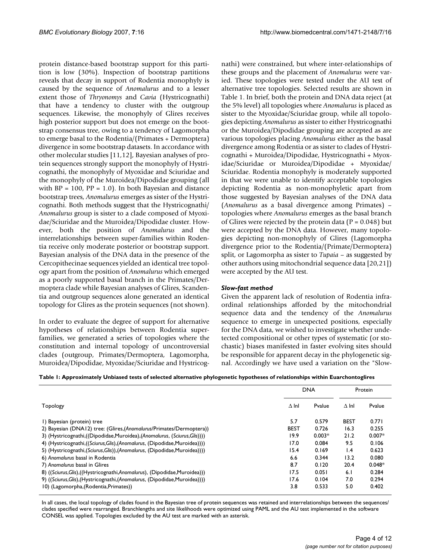protein distance-based bootstrap support for this partition is low (30%). Inspection of bootstrap partitions reveals that decay in support of Rodentia monophyly is caused by the sequence of *Anomalurus* and to a lesser extent those of *Thryonomys* and *Cavia* (Hystricognathi) that have a tendency to cluster with the outgroup sequences. Likewise, the monophyly of Glires receives high posterior support but does not emerge on the bootstrap consensus tree, owing to a tendency of Lagomorpha to emerge basal to the Rodentia/(Primates + Dermoptera) divergence in some bootstrap datasets. In accordance with other molecular studies [11,12], Bayesian analyses of protein sequences strongly support the monophyly of Hystricognathi, the monophyly of Myoxidae and Sciuridae and the monophyly of the Muroidea/Dipodidae grouping (all with  $BP = 100$ ,  $PP = 1.0$ ). In both Bayesian and distance bootstrap trees, *Anomalurus* emerges as sister of the Hystricognathi. Both methods suggest that the Hystricognathi/ *Anomalurus* group is sister to a clade composed of Myoxidae/Sciuridae and the Muroidea/Dipodidae cluster. However, both the position of *Anomalurus* and the interrelationships between super-families within Rodentia receive only moderate posterior or bootstrap support. Bayesian analysis of the DNA data in the presence of the Cercopithecinae sequences yielded an identical tree topology apart from the position of *Anomalurus* which emerged as a poorly supported basal branch in the Primates/Dermoptera clade while Bayesian analyses of Glires, Scandentia and outgroup sequences alone generated an identical topology for Glires as the protein sequences (not shown).

In order to evaluate the degree of support for alternative hypotheses of relationships between Rodentia superfamilies, we generated a series of topologies where the constitution and internal topology of uncontroversial clades (outgroup, Primates/Dermoptera, Lagomorpha, Muroidea/Dipodidae, Myoxidae/Sciuridae and Hystricognathi) were constrained, but where inter-relationships of these groups and the placement of *Anomalurus* were varied. These topologies were tested under the AU test of alternative tree topologies. Selected results are shown in Table 1. In brief, both the protein and DNA data reject (at the 5% level) all topologies where *Anomalurus* is placed as sister to the Myoxidae/Sciuridae group, while all topologies depicting *Anomalurus* as sister to either Hystricognathi or the Muroidea/Dipodidae grouping are accepted as are various topologies placing *Anomalurus* either as the basal divergence among Rodentia or as sister to clades of Hystricognathi + Muroidea/Dipodidae, Hystricognathi + Myoxidae/Sciuridae or Muroidea/Dipodidae + Myoxidae/ Sciuridae. Rodentia monophyly is moderately supported in that we were unable to identify acceptable topologies depicting Rodentia as non-monophyletic apart from those suggested by Bayesian analyses of the DNA data (*Anomalurus* as a basal divergence among Primates) – topologies where *Anomalurus* emerges as the basal branch of Glires were rejected by the protein data ( $P = 0.048$ ) but were accepted by the DNA data. However, many topologies depicting non-monophyly of Glires (Lagomorpha divergence prior to the Rodentia/(Primate/Dermoptera) split, or Lagomorpha as sister to *Tupaia* – as suggested by other authors using mitochondrial sequence data [20,21]) were accepted by the AU test.

#### *Slow-fast method*

Given the apparent lack of resolution of Rodentia infraordinal relationships afforded by the mitochondrial sequence data and the tendency of the *Anomalurus* sequence to emerge in unexpected positions, especially for the DNA data, we wished to investigate whether undetected compositional or other types of systematic (or stochastic) biases manifested in faster evolving sites should be responsible for apparent decay in the phylogenetic signal. Accordingly we have used a variation on the "Slow-

| Table I: Approximately Unbiased tests of selected alternative phylogenetic hypotheses of relationships within Euarchontoglires |  |  |
|--------------------------------------------------------------------------------------------------------------------------------|--|--|
|                                                                                                                                |  |  |

|                                                                             |              | <b>DNA</b> |                 | Protein  |  |
|-----------------------------------------------------------------------------|--------------|------------|-----------------|----------|--|
| <b>Topology</b>                                                             | $\Delta$ InI | Pvalue     | $\Delta$ InI    | Pvalue   |  |
| I) Bayesian (protein) tree                                                  | 5.7          | 0.579      | <b>BEST</b>     | 0.771    |  |
| 2) Bayesian (DNA12) tree: (Glires, (Anomalurus/Primates/Dermoptera))        | <b>BEST</b>  | 0.726      | 16.3            | 0.255    |  |
| 3) (Hystricognathi, ((Dipodidae, Muroidea), (Anomalurus, (Sciurus, Glis)))) | 19.9         | $0.003*$   | 21.2            | $0.007*$ |  |
| 4) (Hystricognathi, ((Sciurus, Glis), (Anomalurus, (Dipodidae, Muroidea)))) | 17.0         | 0.084      | 9.5             | 0.106    |  |
| 5) (Hystricognathi, (Sciurus, Glis)), (Anomalurus, (Dipodidae, Muroidea)))) | 15.4         | 0.169      | $\mathsf{I}$ .4 | 0.623    |  |
| 6) Anomalurus basal in Rodentia                                             | 6.6          | 0.344      | 13.2            | 0.080    |  |
| 7) Anomalurus basal in Glires                                               | 8.7          | 0.120      | 20.4            | $0.048*$ |  |
| 8) ((Sciurus, Glis), ((Hystricognathi, Anomalurus), (Dipodidae, Muroidea))) | 17.5         | 0.051      | 6.1             | 0.284    |  |
| 9) ((Sciurus, Glis), (Hystricognathi, (Anomalurus, (Dipodidae, Muroidea)))) | 17.6         | 0.104      | 7.0             | 0.294    |  |
| 10) (Lagomorpha, (Rodentia, Primates))                                      | 3.8          | 0.533      | 5.0             | 0.402    |  |

In all cases, the local topology of clades found in the Bayesian tree of protein sequences was retained and interrelationships between the sequences/ clades specified were rearranged. Branchlengths and site likelihoods were optimized using PAML and the AU test implemented in the software CONSEL was applied. Topologies excluded by the AU test are marked with an asterisk.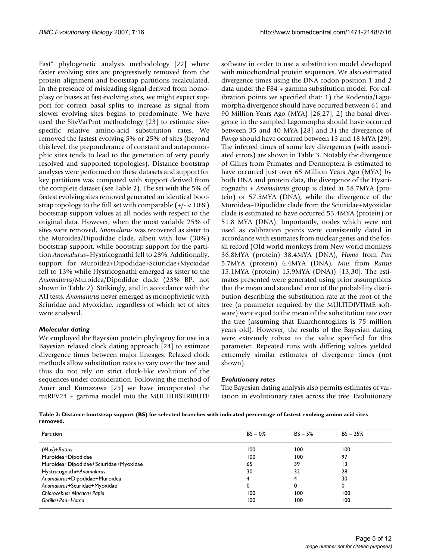Fast" phylogenetic analysis methodology [22] where faster evolving sites are progressively removed from the protein alignment and bootstrap partitions recalculated. In the presence of misleading signal derived from homoplasy or biases at fast evolving sites, we might expect support for correct basal splits to increase as signal from slower evolving sites begins to predominate. We have used the SiteVarProt methodology [23] to estimate sitespecific relative amino-acid substitution rates. We removed the fastest evolving 5% or 25% of sites (beyond this level, the preponderance of constant and autapomorphic sites tends to lead to the generation of very poorly resolved and supported topologies). Distance bootstrap analyses were performed on these datasets and support for key partitions was compared with support derived from the complete dataset (see Table 2). The set with the 5% of fastest evolving sites removed generated an identical bootstrap topology to the full set with comparable  $(+/ < 10\%)$ bootstrap support values at all nodes with respect to the original data. However, when the most variable 25% of sites were removed, *Anomalurus* was recovered as sister to the Muroidea/Dipodidae clade, albeit with low (30%) bootstrap support, while bootstrap support for the partition *Anomalurus*+Hystricognathi fell to 28%. Additionally, support for Muroidea+Dipodidae+Sciuridae+Myoxidae fell to 13% while Hystricognathi emerged as sister to the *Anomalurus*/Muroidea/Dipodidae clade (23% BP, not shown in Table 2). Strikingly, and in accordance with the AU tests, *Anomalurus* never emerged as monophyletic with Sciuridae and Myoxidae, regardless of which set of sites were analysed.

#### *Molecular dating*

We employed the Bayesian protein phylogeny for use in a Bayesian relaxed clock dating approach [24] to estimate divergence times between major lineages. Relaxed clock methods allow substitution rates to vary over the tree and thus do not rely on strict clock-like evolution of the sequences under consideration. Following the method of Amer and Kumazawa [25] we have incorporated the mtREV24 + gamma model into the MULTIDISTRIBUTE software in order to use a substitution model developed with mitochondrial protein sequences. We also estimated divergence times using the DNA codon position 1 and 2 data under the F84 + gamma substitution model. For calibration points we specified that: 1) the Rodentia/Lagomorpha divergence should have occurred between 61 and 90 Million Years Ago (MYA) [26,27], 2) the basal divergence in the sampled Lagomorpha should have occurred between 35 and 40 MYA [28] and 3) the divergence of *Pongo* should have occurred between 13 and 18 MYA [29]. The inferred times of some key divergences (with associated errors) are shown in Table 3. Notably the divergence of Glires from Primates and Dermoptera is estimated to have occurred just over 65 Million Years Ago (MYA) by both DNA and protein data, the divergence of the Hystricognathi + *Anomalurus* group is dated at 58.7MYA (protein) or 57.5MYA (DNA), while the divergence of the Muroidea+Dipodidae clade from the Sciuridae+Myoxidae clade is estimated to have occurred 53.4MYA (protein) or 51.8 MYA (DNA). Importantly, nodes which were not used as calibration points were consistently dated in accordance with estimates from nuclear genes and the fossil record (Old world monkeys from New world monkeys 36.8MYA (protein) 38.4MYA (DNA), *Homo* from *Pan* 5.7MYA (protein) 6.4MYA (DNA), *Mus* from *Rattus* 15.1MYA (protein) 15.9MYA (DNA)) [13,30]. The estimates presented were generated using prior assumptions that the mean and standard error of the probability distribution describing the substitution rate at the root of the tree (a parameter required by the MULTIDIVTIME software) were equal to the mean of the substitution rate over the tree (assuming that Euarchontoglires is 75 million years old). However, the results of the Bayesian dating were extremely robust to the value specified for this parameter. Repeated runs with differing values yielded extremely similar estimates of divergence times (not shown).

#### *Evolutionary rates*

The Bayesian dating analysis also permits estimates of variation in evolutionary rates across the tree. Evolutionary

**Table 2: Distance bootstrap support (BS) for selected branches with indicated percentage of fastest evolving amino acid sites removed.**

| Partition                             | $BS - 0%$ | $BS - 5%$ | $BS - 25%$ |
|---------------------------------------|-----------|-----------|------------|
| (Mus)+Rattus                          | 100       | 100       | 100        |
| Muroidea+Dipodidae                    | 100       | 100       | 97         |
| Muroidea+Dipodidae+Sciuridae+Myoxidae | 65        | 39        | 13         |
| Hystricognathi+Anomalurus             | 30        | 32        | 28         |
| Anomalurus+Dipodidae+Muroidea         | 4         |           | 30         |
| Anomalurus+Scuridae+Myoxidae          |           |           | 0          |
| Chlorocebus+Macaca+Papio              | 100       | 100       | 100        |
| Gorilla+Pan+Homo                      | 100       | 100       | 100        |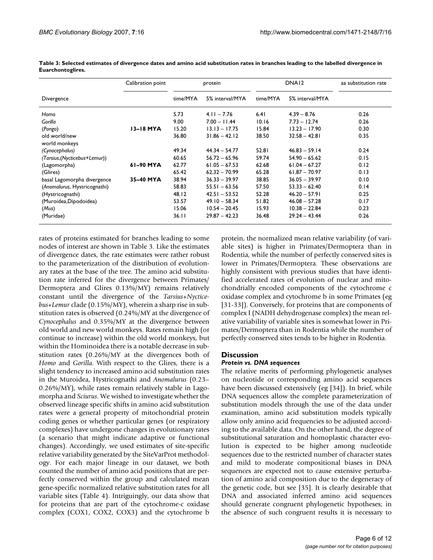|                               | Calibration point |          | protein         |          | DNA12           | aa substitution rate |
|-------------------------------|-------------------|----------|-----------------|----------|-----------------|----------------------|
| Divergence                    |                   | time/MYA | 5% interval/MYA | time/MYA | 5% interval/MYA |                      |
| Homo                          |                   | 5.73     | $4.11 - 7.76$   | 6.41     | $4.39 - 8.76$   | 0.26                 |
| Gorilla                       |                   | 9.00     | $7.00 - 11.44$  | 10.16    | $7.73 - 12.74$  | 0.26                 |
| (Pongo)                       | 13-18 MYA         | 15.20    | $13.13 - 17.75$ | 15.84    | $13.23 - 17.90$ | 0.30                 |
| old world/new                 |                   | 36.80    | $31.86 - 42.12$ | 38.50    | $32.58 - 42.81$ | 0.35                 |
| world monkeys                 |                   |          |                 |          |                 |                      |
| (Cynocephalus)                |                   | 49.34    | $44.34 - 54.77$ | 52.81    | $46.83 - 59.14$ | 0.24                 |
| (Tarsius, (Nycticebus+Lemur)) |                   | 60.65    | $56.72 - 65.96$ | 59.74    | $54.90 - 65.62$ | 0.15                 |
| (Lagomorpha)                  | 61-90 MYA         | 62.77    | $61.05 - 67.53$ | 62.68    | $61.04 - 67.27$ | 0.12                 |
| (Glires)                      |                   | 65.42    | $62.32 - 70.99$ | 65.28    | $61.87 - 70.97$ | 0.13                 |
| basal Lagomorpha divergence   | 35-40 MYA         | 38.94    | $36.33 - 39.97$ | 38.85    | $36.05 - 39.97$ | 0.10                 |
| (Anomalurus, Hystricognathi)  |                   | 58.83    | $55.51 - 63.56$ | 57.50    | $53.33 - 62.40$ | 0.14                 |
| (Hystricognathi)              |                   | 48.12    | $42.51 - 53.52$ | 52.28    | $46.20 - 57.91$ | 0.25                 |
| (Muroidea,Dipodoidea)         |                   | 53.57    | $49.10 - 58.34$ | 51.82    | $46.08 - 57.28$ | 0.17                 |
| (Mus)                         |                   | 15.06    | $10.54 - 20.45$ | 15.93    | $10.38 - 22.84$ | 0.23                 |
| (Muridae)                     |                   | 36.11    | $29.87 - 42.23$ | 36.48    | $29.24 - 43.44$ | 0.26                 |

**Table 3: Selected estimates of divergence dates and amino acid substitution rates in branches leading to the labelled divergence in Euarchontoglires.**

rates of proteins estimated for branches leading to some nodes of interest are shown in Table 3. Like the estimates of divergence dates, the rate estimates were rather robust to the parameterization of the distribution of evolutionary rates at the base of the tree. The amino acid substitution rate inferred for the divergence between Primates/ Dermoptera and Glires 0.13%/MY) remains relatively constant until the divergence of the *Tarsius*+*Nycticebus*+*Lemur* clade (0.15%/MY), wherein a sharp rise in substitution rates is observed (0.24%/MY at the divergence of *Cynocephalus* and 0.35%/MY at the divergence between old world and new world monkeys. Rates remain high (or continue to increase) within the old world monkeys, but within the Hominoidea there is a notable decrease in substitution rates (0.26%/MY at the divergences both of *Homo* and *Gorilla*. With respect to the Glires, there is a slight tendency to increased amino acid substitution rates in the Muroidea, Hystricognathi and *Anomalurus* (0.23– 0.26%/MY), while rates remain relatively stable in Lagomorpha and *Sciurus*. We wished to investigate whether the observed lineage specific shifts in amino acid substitution rates were a general property of mitochondrial protein coding genes or whether particular genes (or respiratory complexes) have undergone changes in evolutionary rates (a scenario that might indicate adaptive or functional changes). Accordingly, we used estimates of site-specific relative variability generated by the SiteVarProt methodology. For each major lineage in our dataset, we both counted the number of amino acid positions that are perfectly conserved within the group and calculated mean gene-specific normalized relative substitution rates for all variable sites (Table 4). Intriguingly, our data show that for proteins that are part of the cytochrome-c oxidase complex (COX1, COX2, COX3) and the cytochrome b

protein, the normalized mean relative variability (of variable sites) is higher in Primates/Dermoptera than in Rodentia, while the number of perfectly conserved sites is lower in Primates/Dermoptera. These observations are highly consistent with previous studies that have identified accelerated rates of evolution of nuclear and mitochondrially encoded components of the cytochrome c oxidase complex and cytochrome b in some Primates (eg [31-33]). Conversely, for proteins that are components of complex I (NADH dehydrogenase complex) the mean relative variability of variable sites is somewhat lower in Primates/Dermoptera than in Rodentia while the number of perfectly conserved sites tends to be higher in Rodentia.

#### **Discussion**

#### *Protein vs. DNA sequences*

The relative merits of performing phylogenetic analyses on nucleotide or corresponding amino acid sequences have been discussed extensively (eg [34]). In brief, while DNA sequences allow the complete parameterization of substitution models through the use of the data under examination, amino acid substitution models typically allow only amino acid frequencies to be adjusted according to the available data. On the other hand, the degree of substitutional saturation and homoplastic character evolution is expected to be higher among nucleotide sequences due to the restricted number of character states and mild to moderate compositional biases in DNA sequences are expected not to cause extensive perturbation of amino acid composition due to the degeneracy of the genetic code, but see [35]. It is clearly desirable that DNA and associated inferred amino acid sequences should generate congruent phylogenetic hypotheses; in the absence of such congruent results it is necessary to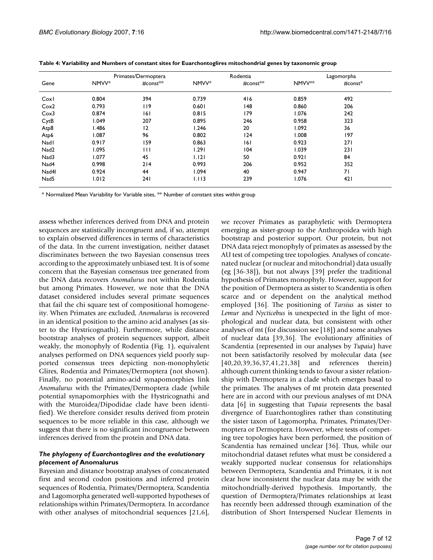|                  |                   | Primates/Dermoptera |                   | Rodentia              |                   | Lagomorpha |  |
|------------------|-------------------|---------------------|-------------------|-----------------------|-------------------|------------|--|
| Gene             | NMVV <sup>*</sup> | #const**            | NMVV <sup>*</sup> | #const <sup>*</sup> * | NMVV <sup>*</sup> | #const $*$ |  |
| Coxl             | 0.804             | 394                 | 0.739             | 416                   | 0.859             | 492        |  |
| Cox2             | 0.793             | 119                 | 0.601             | 48                    | 0.860             | 206        |  |
| Cox3             | 0.874             | 6                   | 0.815             | 179                   | 1.076             | 242        |  |
| CytB             | 1.049             | 207                 | 0.895             | 246                   | 0.958             | 323        |  |
| Atp8             | I.486             | 12                  | 1.246             | 20                    | 1.092             | 36         |  |
| Atp6             | .087              | 96                  | 0.802             | 124                   | 1.008             | 197        |  |
| Nadl             | 0.917             | 159                 | 0.863             | 6                     | 0.923             | 271        |  |
| Nad <sub>2</sub> | 1.095             | Ħ                   | 1.291             | 104                   | 1.039             | 231        |  |
| Nad3             | 1.077             | 45                  | 1.121             | 50                    | 0.921             | 84         |  |
| Nad4             | 0.998             | 214                 | 0.993             | 206                   | 0.952             | 352        |  |
| Nad4l            | 0.924             | 44                  | 1.094             | 40                    | 0.947             | 71         |  |
| Nad <sub>5</sub> | 1.012             | 241                 | 1.113             | 239                   | 1.076             | 421        |  |

**Table 4: Variability and Numbers of constant sites for Euarchontoglires mitochondrial genes by taxonomic group**

\* Normalized Mean Variability for Variable sites, \*\* Number of constant sites within group

assess whether inferences derived from DNA and protein sequences are statistically incongruent and, if so, attempt to explain observed differences in terms of characteristics of the data. In the current investigation, neither dataset discriminates between the two Bayesian consensus trees according to the approximately unbiased test. It is of some concern that the Bayesian consensus tree generated from the DNA data recovers *Anomalurus* not within Rodentia but among Primates. However, we note that the DNA dataset considered includes several primate sequences that fail the chi square test of compositional homogeneity. When Primates are excluded, *Anomalurus* is recovered in an identical position to the amino acid analyses (as sister to the Hystricognathi). Furthermore, while distance bootstrap analyses of protein sequences support, albeit weakly, the monophyly of Rodentia (Fig. 1), equivalent analyses performed on DNA sequences yield poorly supported consensus trees depicting non-monophyletic Glires, Rodentia and Primates/Dermoptera (not shown). Finally, no potential amino-acid synapomorphies link *Anomalurus* with the Primates/Dermoptera clade (while potential synapomorphies with the Hystricognathi and with the Muroidea/Dipodidae clade have been identified). We therefore consider results derived from protein sequences to be more reliable in this case, although we suggest that there is no significant incongruence between inferences derived from the protein and DNA data.

#### *The phylogeny of Euarchontoglires and the evolutionary placement of* **Anomalurus**

Bayesian and distance bootstrap analyses of concatenated first and second codon positions and inferred protein sequences of Rodentia, Primates/Dermoptera, Scandentia and Lagomorpha generated well-supported hypotheses of relationships within Primates/Dermoptera. In accordance with other analyses of mitochondrial sequences [21,6],

we recover Primates as paraphyletic with Dermoptera emerging as sister-group to the Anthropoidea with high bootstrap and posterior support. Our protein, but not DNA data reject monophyly of primates as assessed by the AU test of competing tree topologies. Analyses of concatenated nuclear (or nuclear and mitochondrial) data usually (eg [36-38]), but not always [39] prefer the traditional hypothesis of Primates monophyly. However, support for the position of Dermoptera as sister to Scandentia is often scarce and or dependent on the analytical method employed [36]. The positioning of *Tarsius* as sister to *Lemur* and *Nycticebus* is unexpected in the light of morphological and nuclear data, but consistent with other analyses of mt (for discussion see [18]) and some analyses of nuclear data [39,36]. The evolutionary affinities of Scandentia (represented in our analyses by *Tupaia*) have not been satisfactorily resolved by molecular data (see [40,20,39,36,37,41,21,38] and references therein) although current thinking tends to favour a sister relationship with Dermoptera in a clade which emerges basal to the primates. The analyses of mt protein data presented here are in accord with our previous analyses of mt DNA data [6] in suggesting that *Tupaia* represents the basal divergence of Euarchontoglires rather than constituting the sister taxon of Lagomorpha, Primates, Primates/Dermoptera or Dermoptera. However, where tests of competing tree topologies have been performed, the position of Scandentia has remained unclear [36]. Thus, while our mitochondrial dataset refutes what must be considered a weakly supported nuclear consensus for relationships between Dermoptera, Scandentia and Primates, it is not clear how inconsistent the nuclear data may be with the mitochondrially-derived hypothesis. Importantly, the question of Dermoptera/Primates relationships at least has recently been addressed through examination of the distribution of Short Interspersed Nuclear Elements in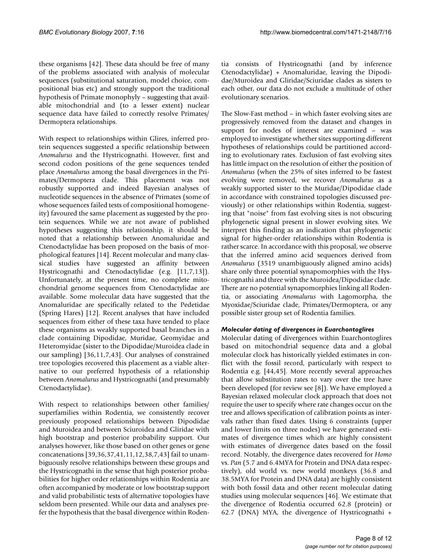these organisms [42]. These data should be free of many of the problems associated with analysis of molecular sequences (substitutional saturation, model choice, compositional bias etc) and strongly support the traditional hypothesis of Primate monophyly – suggesting that available mitochondrial and (to a lesser extent) nuclear sequence data have failed to correctly resolve Primates/ Dermoptera relationships.

With respect to relationships within Glires, inferred protein sequences suggested a specific relationship between *Anomalurus* and the Hystricognathi. However, first and second codon positions of the gene sequences tended place *Anomalurus* among the basal divergences in the Primates/Dermoptera clade. This placement was not robustly supported and indeed Bayesian analyses of nucleotide sequences in the absence of Primates (some of whose sequences failed tests of compositional homogeneity) favoured the same placement as suggested by the protein sequences. While we are not aware of published hypotheses suggesting this relationship, it should be noted that a relationship between Anomaluridae and Ctenodactylidae has been proposed on the basis of morphological features [14]. Recent molecular and many classical studies have suggested an affinity between Hystricognathi and Ctenodactylidae (e.g. [11,7,13]). Unfortunately, at the present time, no complete mitochondrial genome sequences from Ctenodactylidae are available. Some molecular data have suggested that the Anomaluridae are specifically related to the Pedetidae (Spring Hares) [12]. Recent analyses that have included sequences from either of these taxa have tended to place these organisms as weakly supported basal branches in a clade containing Dipodidae, Muridae, Geomyidae and Heteromyidae (sister to the Dipodidae/Muroidea clade in our sampling) [36,11,7,43]. Our analyses of constrained tree topologies recovered this placement as a viable alternative to our preferred hypothesis of a relationship between *Anomalurus* and Hystricognathi (and presumably Ctenodactylidae).

With respect to relationships between other families/ superfamilies within Rodentia, we consistently recover previously proposed relationships between Dipodidae and Muroidea and between Sciuroidea and Gliridae with high bootstrap and posterior probability support. Our analyses however, like those based on other genes or gene concatenations [39,36,37,41,11,12,38,7,43] fail to unambiguously resolve relationships between these groups and the Hystricognathi in the sense that high posterior probabilities for higher order relationships within Rodentia are often accompanied by moderate or low bootstrap support and valid probabilistic tests of alternative topologies have seldom been presented. While our data and analyses prefer the hypothesis that the basal divergence within Rodentia consists of Hystricognathi (and by inference Ctenodactylidae) + Anomaluridae, leaving the Dipodidae/Muroidea and Gliridae/Sciuridae clades as sisters to each other, our data do not exclude a multitude of other evolutionary scenarios.

The Slow-Fast method – in which faster evolving sites are progressively removed from the dataset and changes in support for nodes of interest are examined – was employed to investigate whether sites supporting different hypotheses of relationships could be partitioned according to evolutionary rates. Exclusion of fast evolving sites has little impact on the resolution of either the position of *Anomalurus* (when the 25% of sites inferred to be fastest evolving were removed, we recover *Anomalurus* as a weakly supported sister to the Muridae/Dipodidae clade in accordance with constrained topologies discussed previously) or other relationships within Rodentia, suggesting that "noise" from fast evolving sites is not obscuring phylogenetic signal present in slower evolving sites. We interpret this finding as an indication that phylogenetic signal for higher-order relationships within Rodentia is rather scarce. In accordance with this proposal, we observe that the inferred amino acid sequences derived from *Anomalurus* (3519 unambiguously aligned amino acids) share only three potential synapomorphies with the Hystricognathi and three with the Muroidea/Dipodidae clade. There are no potential synapomorphies linking all Rodentia, or associating *Anomalurus* with Lagomorpha, the Myoxidae/Sciuridae clade, Primates/Dermoptera, or any possible sister group set of Rodentia families.

#### *Molecular dating of divergences in Euarchontoglires*

Molecular dating of divergences within Euarchontoglires based on mitochondrial sequence data and a global molecular clock has historically yielded estimates in conflict with the fossil record, particularly with respect to Rodentia e.g. [44,45]. More recently several approaches that allow substitution rates to vary over the tree have been developed (for review see [8]). We have employed a Bayesian relaxed molecular clock approach that does not require the user to specify where rate changes occur on the tree and allows specification of calibration points as intervals rather than fixed dates. Using 6 constraints (upper and lower limits on three nodes) we have generated estimates of divergence times which are highly consistent with estimates of divergence dates based on the fossil record. Notably, the divergence dates recovered for *Homo* vs. *Pan* (5.7 and 6.4MYA for Protein and DNA data respectively), old world vs. new world monkeys (36.8 and 38.5MYA for Protein and DNA data) are highly consistent with both fossil data and other recent molecular dating studies using molecular sequences [46]. We estimate that the divergence of Rodentia occurred 62.8 (protein) or 62.7 (DNA) MYA, the divergence of Hystricognathi +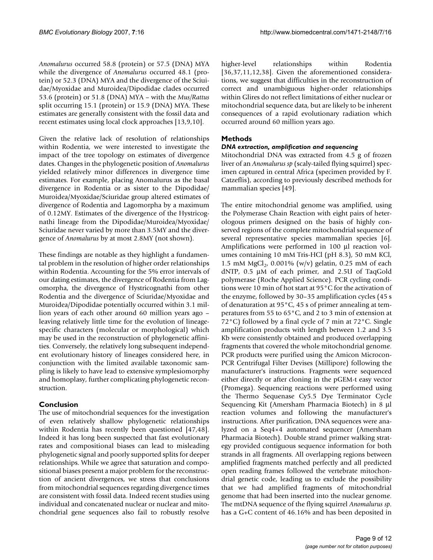*Anomalurus* occurred 58.8 (protein) or 57.5 (DNA) MYA while the divergence of *Anomalurus* occurred 48.1 (protein) or 52.3 (DNA) MYA and the divergence of the Sciuidae/Myoxidae and Muroidea/Dipodidae clades occurred 53.6 (protein) or 51.8 (DNA) MYA – with the *Mus/Rattus* split occurring 15.1 (protein) or 15.9 (DNA) MYA. These estimates are generally consistent with the fossil data and recent estimates using local clock approaches [13,9,10].

Given the relative lack of resolution of relationships within Rodentia, we were interested to investigate the impact of the tree topology on estimates of divergence dates. Changes in the phylogenetic position of *Anomalurus* yielded relatively minor differences in divergence time estimates. For example, placing Anomalurus as the basal divergence in Rodentia or as sister to the Dipodidae/ Muroidea/Myoxidae/Sciuridae group altered estimates of divergence of Rodentia and Lagomorpha by a maximum of 0.12MY. Estimates of the divergence of the Hystricognathi lineage from the Dipodidae/Muroidea/Myoxidae/ Sciuridae never varied by more than 3.5MY and the divergence of *Anomalurus* by at most 2.8MY (not shown).

These findings are notable as they highlight a fundamental problem in the resolution of higher order relationships within Rodentia. Accounting for the 5% error intervals of our dating estimates, the divergence of Rodentia from Lagomorpha, the divergence of Hystricognathi from other Rodentia and the divergence of Sciuridae/Myoxidae and Muroidea/Dipodidae potentially occurred within 3.1 million years of each other around 60 million years ago – leaving relatively little time for the evolution of lineagespecific characters (molecular or morphological) which may be used in the reconstruction of phylogenetic affinities. Conversely, the relatively long subsequent independent evolutionary history of lineages considered here, in conjunction with the limited available taxonomic sampling is likely to have lead to extensive symplesiomorphy and homoplasy, further complicating phylogenetic reconstruction.

#### **Conclusion**

The use of mitochondrial sequences for the investigation of even relatively shallow phylogenetic relationships within Rodentia has recently been questioned [47,48]. Indeed it has long been suspected that fast evolutionary rates and compositional biases can lead to misleading phylogenetic signal and poorly supported splits for deeper relationships. While we agree that saturation and compositional biases present a major problem for the reconstruction of ancient divergences, we stress that conclusions from mitochondrial sequences regarding divergence times are consistent with fossil data. Indeed recent studies using individual and concatenated nuclear or nuclear and mitochondrial gene sequences also fail to robustly resolve

higher-level relationships within Rodentia [36,37,11,12,38]. Given the aforementioned considerations, we suggest that difficulties in the reconstruction of correct and unambiguous higher-order relationships within Glires do not reflect limitations of either nuclear or mitochondrial sequence data, but are likely to be inherent consequences of a rapid evolutionary radiation which occurred around 60 million years ago.

#### **Methods**

#### *DNA extraction, amplification and sequencing*

Mitochondrial DNA was extracted from 4.5 g of frozen liver of an *Anomalurus sp* (scaly-tailed flying squirrel) specimen captured in central Africa (specimen provided by F. Catzeflis), according to previously described methods for mammalian species [49].

The entire mitochondrial genome was amplified, using the Polymerase Chain Reaction with eight pairs of heterologous primers designed on the basis of highly conserved regions of the complete mitochondrial sequence of several representative species mammalian species [6]. Amplifications were performed in 100 μl reaction volumes containing 10 mM Tris-HCl (pH 8.3), 50 mM KCl, 1.5 mM MgCl<sub>2</sub>, 0.001% (w/v) gelatin, 0.25 mM of each dNTP, 0.5 μM of each primer, and 2.5U of TaqGold polymerase (Roche Applied Science). PCR cycling conditions were 10 min of hot start at 95°C for the activation of the enzyme, followed by 30–35 amplification cycles (45 s of denaturation at 95°C, 45 s of primer annealing at temperatures from 55 to 65°C, and 2 to 3 min of extension at 72°C) followed by a final cycle of 7 min at 72°C. Single amplification products with length between 1.2 and 3.5 Kb were consistently obtained and produced overlapping fragments that covered the whole mitochondrial genome. PCR products were purified using the Amicon Microcon-PCR Centrifugal Filter Devises (Millipore) following the manufacturer's instructions. Fragments were sequenced either directly or after cloning in the pGEM-t easy vector (Promega). Sequencing reactions were performed using the Thermo Sequenase Cy5.5 Dye Terminator Cycle Sequencing Kit (Amersham Pharmacia Biotech) in 8 μl reaction volumes and following the manufacturer's instructions. After purification, DNA sequences were analyzed on a Seq4×4 automated sequencer (Amersham Pharmacia Biotech). Double strand primer walking strategy provided contiguous sequence information for both strands in all fragments. All overlapping regions between amplified fragments matched perfectly and all predicted open reading frames followed the vertebrate mitochondrial genetic code, leading us to exclude the possibility that we had amplified fragments of mitochondrial genome that had been inserted into the nuclear genome. The mtDNA sequence of the flying squirrel *Anomalurus sp*. has a G+C content of 46.16% and has been deposited in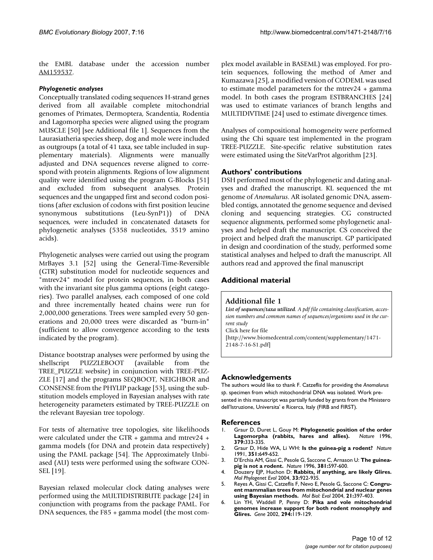the EMBL database under the accession number [AM159537](http://www.ncbi.nih.gov/entrez/query.fcgi?db=Nucleotide&cmd=search&term=AM159537).

#### *Phylogenetic analyses*

Conceptually translated coding sequences H-strand genes derived from all available complete mitochondrial genomes of Primates, Dermoptera, Scandentia, Rodentia and Lagomorpha species were aligned using the program MUSCLE [50] [see Additional file 1]. Sequences from the Laurasiatheria species sheep, dog and mole were included as outgroups (a total of 41 taxa, see table included in supplementary materials). Alignments were manually adjusted and DNA sequences reverse aligned to correspond with protein alignments. Regions of low alignment quality were identified using the program G-Blocks [51] and excluded from subsequent analyses. Protein sequences and the ungapped first and second codon positions (after exclusion of codons with first position leucine synonymous substitutions (Leu-SynP1)) of DNA sequences, were included in concatenated datasets for phylogenetic analyses (5358 nucleotides, 3519 amino acids).

Phylogenetic analyses were carried out using the program MrBayes 3.1 [52] using the General-Time-Reversible (GTR) substitution model for nucleotide sequences and "mtrev24" model for protein sequences, in both cases with the invariant site plus gamma options (eight categories). Two parallel analyses, each composed of one cold and three incrementally heated chains were run for 2,000,000 generations. Trees were sampled every 50 generations and 20,000 trees were discarded as "burn-in" (sufficient to allow convergence according to the tests indicated by the program).

Distance bootstrap analyses were performed by using the shellscript PUZZLEBOOT (available from the TREE\_PUZZLE website) in conjunction with TREE-PUZ-ZLE [17] and the programs SEQBOOT, NEIGHBOR and CONSENSE from the PHYLIP package [53], using the substitution models employed in Bayesian analyses with rate heterogeneity parameters estimated by TREE-PUZZLE on the relevant Bayesian tree topology.

For tests of alternative tree topologies, site likelihoods were calculated under the GTR + gamma and mtrev24 + gamma models (for DNA and protein data respectively) using the PAML package [54]. The Approximately Unbiased (AU) tests were performed using the software CON-SEL [19].

Bayesian relaxed molecular clock dating analyses were performed using the MULTIDISTRIBUTE package [24] in conjunction with programs from the package PAML. For DNA sequences, the F85 + gamma model (the most complex model available in BASEML) was employed. For protein sequences, following the method of Amer and Kumazawa [25], a modified version of CODEML was used to estimate model parameters for the mtrev24 + gamma model. In both cases the program ESTBRANCHES [24] was used to estimate variances of branch lengths and MULTIDIVTIME [24] used to estimate divergence times.

Analyses of compositional homogeneity were performed using the Chi square test implemented in the program TREE-PUZZLE. Site-specific relative substitution rates were estimated using the SiteVarProt algorithm [23].

#### **Authors' contributions**

DSH performed most of the phylogenetic and dating analyses and drafted the manuscript. KL sequenced the mt genome of *Anomalurus*. AR isolated genomic DNA, assembled contigs, annotated the genome sequence and devised cloning and sequencing strategies. CG constructed sequence alignments, performed some phylogenetic analyses and helped draft the manuscript. CS conceived the project and helped draft the manuscript. GP participated in design and coordination of the study, performed some statistical analyses and helped to draft the manuscript. All authors read and approved the final manuscript

#### **Additional material**

#### **Additional file 1**

*List of sequences/taxa utilized. A pdf file containing classification, accession numbers and common names of sequences/organisms used in the current study*

Click here for file

[\[http://www.biomedcentral.com/content/supplementary/1471-](http://www.biomedcentral.com/content/supplementary/1471-2148-7-16-S1.pdf) 2148-7-16-S1.pdf]

#### **Acknowledgements**

The authors would like to thank F. Catzeflis for providing the *Anomalurus sp*. specimen from which mitochondrial DNA was isolated. Work presented in this manuscript was partially funded by grants from the Ministero dell'Istruzione, Universita' e Ricerca, Italy (FIRB and FIRST).

#### **References**

- 1. Graur D, Duret L, Gouy M: **[Phylogenetic position of the order](http://www.ncbi.nlm.nih.gov/entrez/query.fcgi?cmd=Retrieve&db=PubMed&dopt=Abstract&list_uids=8552186)** [Lagomorpha \(rabbits, hares and allies\).](http://www.ncbi.nlm.nih.gov/entrez/query.fcgi?cmd=Retrieve&db=PubMed&dopt=Abstract&list_uids=8552186) **379:**333-335.
- 2. Graur D, Hide WA, Li WH: **[Is the guinea-pig a rodent?](http://www.ncbi.nlm.nih.gov/entrez/query.fcgi?cmd=Retrieve&db=PubMed&dopt=Abstract&list_uids=2052090)** *Nature* 1991, **351:**649-652.
- 3. D'Erchia AM, Gissi C, Pesole G, Saccone C, Arnason U: **[The guinea](http://www.ncbi.nlm.nih.gov/entrez/query.fcgi?cmd=Retrieve&db=PubMed&dopt=Abstract&list_uids=8637593)[pig is not a rodent.](http://www.ncbi.nlm.nih.gov/entrez/query.fcgi?cmd=Retrieve&db=PubMed&dopt=Abstract&list_uids=8637593)** *Nature* 1996, **381:**597-600.
- 4. Douzery EJP, Huchon D: **[Rabbits, if anything, are likely Glires.](http://www.ncbi.nlm.nih.gov/entrez/query.fcgi?cmd=Retrieve&db=PubMed&dopt=Abstract&list_uids=15522813)** *Mol Phylogenet Evol* 2004, **33:**922-935.
- 5. Reyes A, Gissi C, Catzeflis F, Nevo E, Pesole G, Saccone C: **[Congru](http://www.ncbi.nlm.nih.gov/entrez/query.fcgi?cmd=Retrieve&db=PubMed&dopt=Abstract&list_uids=14660685)[ent mammalian trees from mitochondrial and nuclear genes](http://www.ncbi.nlm.nih.gov/entrez/query.fcgi?cmd=Retrieve&db=PubMed&dopt=Abstract&list_uids=14660685) [using Bayesian methods.](http://www.ncbi.nlm.nih.gov/entrez/query.fcgi?cmd=Retrieve&db=PubMed&dopt=Abstract&list_uids=14660685)** *Mol Biol: Evol* 2004, **21:**397-403.
- 6. Lin YH, Waddell P, Penny D: **[Pika and vole mitochondrial](http://www.ncbi.nlm.nih.gov/entrez/query.fcgi?cmd=Retrieve&db=PubMed&dopt=Abstract&list_uids=12234673) [genomes increase support for both rodent monophyly and](http://www.ncbi.nlm.nih.gov/entrez/query.fcgi?cmd=Retrieve&db=PubMed&dopt=Abstract&list_uids=12234673) [Glires.](http://www.ncbi.nlm.nih.gov/entrez/query.fcgi?cmd=Retrieve&db=PubMed&dopt=Abstract&list_uids=12234673)** *Gene* 2002, **294:**119-129.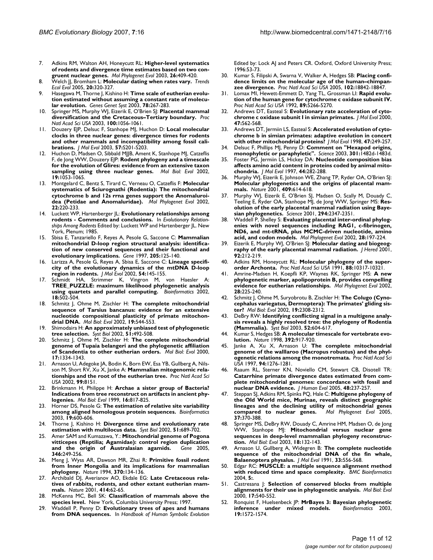- 7. Adkins RM, Walton AH, Honeycutt RL: **[Higher-level systematics](http://www.ncbi.nlm.nih.gov/entrez/query.fcgi?cmd=Retrieve&db=PubMed&dopt=Abstract&list_uids=12644400) [of rodents and divergence time estimates based on two con](http://www.ncbi.nlm.nih.gov/entrez/query.fcgi?cmd=Retrieve&db=PubMed&dopt=Abstract&list_uids=12644400)[gruent nuclear genes.](http://www.ncbi.nlm.nih.gov/entrez/query.fcgi?cmd=Retrieve&db=PubMed&dopt=Abstract&list_uids=12644400)** *Mol Phylogenet Evol* 2003, **26:**409-420.
- 8. Welch JJ, Bromham L: **[Molecular dating when rates vary.](http://www.ncbi.nlm.nih.gov/entrez/query.fcgi?cmd=Retrieve&db=PubMed&dopt=Abstract&list_uids=16701388)** *Trends Ecol Evol* 2005, **20:**320-327.
- 9. Hasegawa M, Thorne J, Kishino H: **[Time scale of eutherian evolu](http://www.ncbi.nlm.nih.gov/entrez/query.fcgi?cmd=Retrieve&db=PubMed&dopt=Abstract&list_uids=14532706)[tion estimated without assuming a constant rate of molecu](http://www.ncbi.nlm.nih.gov/entrez/query.fcgi?cmd=Retrieve&db=PubMed&dopt=Abstract&list_uids=14532706)[lar evolution.](http://www.ncbi.nlm.nih.gov/entrez/query.fcgi?cmd=Retrieve&db=PubMed&dopt=Abstract&list_uids=14532706)** *Genes Genet Syst* 2003, **78:**267-283.
- 10. Springer MS, Murphy WJ, Eizerik E, O'Brien SJ: **[Placental mammal](http://www.ncbi.nlm.nih.gov/entrez/query.fcgi?cmd=Retrieve&db=PubMed&dopt=Abstract&list_uids=12552136) [diversification and the Cretaceous–Tertiary boundary.](http://www.ncbi.nlm.nih.gov/entrez/query.fcgi?cmd=Retrieve&db=PubMed&dopt=Abstract&list_uids=12552136)** *Proc Natl Acad Sci USA* 2003, **100:**1056-1061.
- 11. Douzery EJP, Delsuc F, Stanhope MJ, Huchon D: **[Local molecular](http://www.ncbi.nlm.nih.gov/entrez/query.fcgi?cmd=Retrieve&db=PubMed&dopt=Abstract&list_uids=15008417) [clocks in three nuclear genes: divergence times for rodents](http://www.ncbi.nlm.nih.gov/entrez/query.fcgi?cmd=Retrieve&db=PubMed&dopt=Abstract&list_uids=15008417) and other mammals and incompatibility among fossil cali[brations.](http://www.ncbi.nlm.nih.gov/entrez/query.fcgi?cmd=Retrieve&db=PubMed&dopt=Abstract&list_uids=15008417)** *J Mol Evol* 2003, **57:**S201-S203.
- 12. Huchon D, Madsen O, Sibbald MJJB, Ament K, Stanhope MJ, Catzeflis F, de Jong WW, Douzery EJP: **[Rodent phylogeny and a timescale](http://www.ncbi.nlm.nih.gov/entrez/query.fcgi?cmd=Retrieve&db=PubMed&dopt=Abstract&list_uids=12082125) [for the evolution of Glires: evidence from an extensive taxon](http://www.ncbi.nlm.nih.gov/entrez/query.fcgi?cmd=Retrieve&db=PubMed&dopt=Abstract&list_uids=12082125) [sampling using three nuclear genes.](http://www.ncbi.nlm.nih.gov/entrez/query.fcgi?cmd=Retrieve&db=PubMed&dopt=Abstract&list_uids=12082125)** *Mol Biol: Evol* 2002, **19:**1053-1065.
- 13. Montgelard C, Bentz S, Tirard C, Verneau O, Catzeflis F: **[Molecular](http://www.ncbi.nlm.nih.gov/entrez/query.fcgi?cmd=Retrieve&db=PubMed&dopt=Abstract&list_uids=11820843) [systematics of Sciurognathi \(Rodentia\): The mitochondrial](http://www.ncbi.nlm.nih.gov/entrez/query.fcgi?cmd=Retrieve&db=PubMed&dopt=Abstract&list_uids=11820843) cytochrome b and 12s rrna genes support the Anomaluroi[dea \(Petidae and Anomaluridae\).](http://www.ncbi.nlm.nih.gov/entrez/query.fcgi?cmd=Retrieve&db=PubMed&dopt=Abstract&list_uids=11820843)** *Mol Phylogenet Evol* 2002, **22:**220-233.
- 14. Luckett WP, Hartenberger JL: **Evolutionary relationships among rodents - Comments and conclusions.** In *Evolutionary Relationships Among Rodents* Edited by: Luckett WP and Hartenberger JL. New York, Plenum; 1985.
- 15. Sbisa E, Tanzariello F, Reyes A, Pesole G, Saccone C: **[Mammalian](http://www.ncbi.nlm.nih.gov/entrez/query.fcgi?cmd=Retrieve&db=PubMed&dopt=Abstract&list_uids=9461386) [mitochondrial D-loop region structural analysis: identifica](http://www.ncbi.nlm.nih.gov/entrez/query.fcgi?cmd=Retrieve&db=PubMed&dopt=Abstract&list_uids=9461386)tion of new conserved sequences and their functional and [evolutionary implications.](http://www.ncbi.nlm.nih.gov/entrez/query.fcgi?cmd=Retrieve&db=PubMed&dopt=Abstract&list_uids=9461386)** *Gene* 1997, **205:**125-140.
- 16. Larizza A, Pesole G, Reyes A, Sbisa E, Saccone C: **[Lineage specifi](http://www.ncbi.nlm.nih.gov/entrez/query.fcgi?cmd=Retrieve&db=PubMed&dopt=Abstract&list_uids=11821908)[city of the evolutionary dynamics of the mtDNA D-loop](http://www.ncbi.nlm.nih.gov/entrez/query.fcgi?cmd=Retrieve&db=PubMed&dopt=Abstract&list_uids=11821908) [region in rodents.](http://www.ncbi.nlm.nih.gov/entrez/query.fcgi?cmd=Retrieve&db=PubMed&dopt=Abstract&list_uids=11821908)** *J Mol Evol* 2002, **54:**145-155.
- 17. Schmidt HA, Strimmer K, Vingron M, von Haesler A: **[TREE\\_PUZZLE: maximum likelihood phylogenetic analysis](http://www.ncbi.nlm.nih.gov/entrez/query.fcgi?cmd=Retrieve&db=PubMed&dopt=Abstract&list_uids=11934758) [using quartets and parallel computing.](http://www.ncbi.nlm.nih.gov/entrez/query.fcgi?cmd=Retrieve&db=PubMed&dopt=Abstract&list_uids=11934758)** *Bioinformatics* 2002, **18:**502-504.
- 18. Schmitz J, Ohme M, Zischler H: **[The complete mitochondrial](http://www.ncbi.nlm.nih.gov/entrez/query.fcgi?cmd=Retrieve&db=PubMed&dopt=Abstract&list_uids=11919296) [sequence of Tarsius bancanus: evidence for an extensive](http://www.ncbi.nlm.nih.gov/entrez/query.fcgi?cmd=Retrieve&db=PubMed&dopt=Abstract&list_uids=11919296) nucleotide compositional plasticity of primate mitochon[drial DNA.](http://www.ncbi.nlm.nih.gov/entrez/query.fcgi?cmd=Retrieve&db=PubMed&dopt=Abstract&list_uids=11919296)** *Mol Biol: Evol* 2002, **19:**544-553.
- 19. Shimodaira H: **[An approximately unbiased test of phylogenetic](http://www.ncbi.nlm.nih.gov/entrez/query.fcgi?cmd=Retrieve&db=PubMed&dopt=Abstract&list_uids=12079646) [tree selection.](http://www.ncbi.nlm.nih.gov/entrez/query.fcgi?cmd=Retrieve&db=PubMed&dopt=Abstract&list_uids=12079646)** *Syst Biol* 2002, **51:**492-508.
- 20. Schmitz J, Ohme M, Zischler H: **[The complete mitochondrial](http://www.ncbi.nlm.nih.gov/entrez/query.fcgi?cmd=Retrieve&db=PubMed&dopt=Abstract&list_uids=10958850) [genome of Tupaia belangeri and the phylogenetic affiliation](http://www.ncbi.nlm.nih.gov/entrez/query.fcgi?cmd=Retrieve&db=PubMed&dopt=Abstract&list_uids=10958850) [of Scandentia to other eutherian orders.](http://www.ncbi.nlm.nih.gov/entrez/query.fcgi?cmd=Retrieve&db=PubMed&dopt=Abstract&list_uids=10958850)** *Mol Biol: Evol* 2000, **17:**1334-1343.
- 21. Arnason U, Adegoke JA, Bodin K, Born EW, Esa YB, Gullberg A, Nilsson M, Short RV, Xu X, Janke A: **[Mammalian mitogenomic rela](http://www.ncbi.nlm.nih.gov/entrez/query.fcgi?cmd=Retrieve&db=PubMed&dopt=Abstract&list_uids=12034869)[tionships and the root of the eutherian tree.](http://www.ncbi.nlm.nih.gov/entrez/query.fcgi?cmd=Retrieve&db=PubMed&dopt=Abstract&list_uids=12034869)** *Proc Natl Acad Sci USA* 2002, **99:**8151.
- 22. Brinkmann H, Philippe H: **[Archae a sister group of Bacteria?](http://www.ncbi.nlm.nih.gov/entrez/query.fcgi?cmd=Retrieve&db=PubMed&dopt=Abstract&list_uids=10368959) [Indications from tree reconstruct on artifacts in ancient phy](http://www.ncbi.nlm.nih.gov/entrez/query.fcgi?cmd=Retrieve&db=PubMed&dopt=Abstract&list_uids=10368959)[logenies.](http://www.ncbi.nlm.nih.gov/entrez/query.fcgi?cmd=Retrieve&db=PubMed&dopt=Abstract&list_uids=10368959)** *Mol Biol: Evol* 1999, **16:**817-825.
- 23. Horner DS, Pesole G: **[The estimation of relative site variability](http://www.ncbi.nlm.nih.gov/entrez/query.fcgi?cmd=Retrieve&db=PubMed&dopt=Abstract&list_uids=12651718) [among aligned homologous protein sequences.](http://www.ncbi.nlm.nih.gov/entrez/query.fcgi?cmd=Retrieve&db=PubMed&dopt=Abstract&list_uids=12651718)** *Bioinformatics* 2003, **19:**600-606.
- 24. Thorne J, Kishino H: **[Divergence time and evolutionary rate](http://www.ncbi.nlm.nih.gov/entrez/query.fcgi?cmd=Retrieve&db=PubMed&dopt=Abstract&list_uids=12396584) [estimation with multilocus data.](http://www.ncbi.nlm.nih.gov/entrez/query.fcgi?cmd=Retrieve&db=PubMed&dopt=Abstract&list_uids=12396584)** *Syst Biol* 2002, **51:**689-702.
- 25. Amer SAM and Kumazawa, Y.: **[Mitochondrial genome of Pogona](http://www.ncbi.nlm.nih.gov/entrez/query.fcgi?cmd=Retrieve&db=PubMed&dopt=Abstract&list_uids=15716001) [vitticepes \(Reptilia; Agamidae\): control region duplication](http://www.ncbi.nlm.nih.gov/entrez/query.fcgi?cmd=Retrieve&db=PubMed&dopt=Abstract&list_uids=15716001)** [and the origin of Australasian agamids.](http://www.ncbi.nlm.nih.gov/entrez/query.fcgi?cmd=Retrieve&db=PubMed&dopt=Abstract&list_uids=15716001) **346:**249-256.
- 26. Meng J, Wyss AR, Dawson MR, Zhai R: **[Primitive fossil rodent](http://www.ncbi.nlm.nih.gov/entrez/query.fcgi?cmd=Retrieve&db=PubMed&dopt=Abstract&list_uids=8022481) [from Inner Mongolia and its implications for mammalian](http://www.ncbi.nlm.nih.gov/entrez/query.fcgi?cmd=Retrieve&db=PubMed&dopt=Abstract&list_uids=8022481) [phylogeny.](http://www.ncbi.nlm.nih.gov/entrez/query.fcgi?cmd=Retrieve&db=PubMed&dopt=Abstract&list_uids=8022481)** *Nature* 1994, **370:**134-136.
- 27. Archibald DJ, Averianov AO, Ekdale EG: **[Late Cretaceous rela](http://www.ncbi.nlm.nih.gov/entrez/query.fcgi?cmd=Retrieve&db=PubMed&dopt=Abstract&list_uids=11689942)[tives of rabbits, rodents, and other extant eutherian mam](http://www.ncbi.nlm.nih.gov/entrez/query.fcgi?cmd=Retrieve&db=PubMed&dopt=Abstract&list_uids=11689942)[mals.](http://www.ncbi.nlm.nih.gov/entrez/query.fcgi?cmd=Retrieve&db=PubMed&dopt=Abstract&list_uids=11689942)** *Nature* 2001, **414:**62-65.
- 28. McKenna MC, Bell SK: **Classification of mammals above the species level.** New York, Columbia University Press; 1997.
- 29. Waddell P, Penny D: **Evolutionary trees of apes and humans from DNA sequences.** In *Handbook of Human Symbolic Evolution*

Edited by: Lock AJ and Peters CR. Oxford, Oxford University Press; 1996:53-73.

- 30. Kumar S, Filipski A, Swarna V, Walker A, Hedges SB: **[Placing confi](http://www.ncbi.nlm.nih.gov/entrez/query.fcgi?cmd=Retrieve&db=PubMed&dopt=Abstract&list_uids=16365310)[dence limits on the molecular age of the human–chimpan](http://www.ncbi.nlm.nih.gov/entrez/query.fcgi?cmd=Retrieve&db=PubMed&dopt=Abstract&list_uids=16365310)[zee divergence.](http://www.ncbi.nlm.nih.gov/entrez/query.fcgi?cmd=Retrieve&db=PubMed&dopt=Abstract&list_uids=16365310)** *Proc Natl Acad Sci USA* 2005, **102:**18842-18847.
- 31. Lomax MI, Hewett-Emmett D, Yang TL, Grossman LI: **[Rapid evolu](http://www.ncbi.nlm.nih.gov/entrez/query.fcgi?cmd=Retrieve&db=PubMed&dopt=Abstract&list_uids=1319058)[tion of the human gene for cytochrome c oxidase subunit IV.](http://www.ncbi.nlm.nih.gov/entrez/query.fcgi?cmd=Retrieve&db=PubMed&dopt=Abstract&list_uids=1319058)** *Proc Natl Acad Sci USA* 1992, **89:**5266-5270.
- 32. Andrews DT, Easteal S: **Evolutionary rate acceleration of cytochrome c oxidase subunit I in simian primates.** *J Mol Evol* 2000, **47:**562-568.
- 33. Andrews DT, Jermiin LS, Easteal S: **[Accelerated evolution of cyto](http://www.ncbi.nlm.nih.gov/entrez/query.fcgi?cmd=Retrieve&db=PubMed&dopt=Abstract&list_uids=9732451)[chrome b in simian primates: adaptive evolution in concert](http://www.ncbi.nlm.nih.gov/entrez/query.fcgi?cmd=Retrieve&db=PubMed&dopt=Abstract&list_uids=9732451) [with other mitochondrial proteins?](http://www.ncbi.nlm.nih.gov/entrez/query.fcgi?cmd=Retrieve&db=PubMed&dopt=Abstract&list_uids=9732451)** *J Mol Evol* 1998, **47:**249-257.
- 34. Delsuc F, Phillips MJ, Penny D: **Comment on "Hexapod origins, monophyletic or paraphyletic".** *Science* 2003, **301:**1482d-1483d.
- 35. Foster PG, Jermiin LS, Hickey DA: **[Nucleotide composition bias](http://www.ncbi.nlm.nih.gov/entrez/query.fcgi?cmd=Retrieve&db=PubMed&dopt=Abstract&list_uids=9060394) [affects amino acid content in proteins coded by animal mito](http://www.ncbi.nlm.nih.gov/entrez/query.fcgi?cmd=Retrieve&db=PubMed&dopt=Abstract&list_uids=9060394)[chondria.](http://www.ncbi.nlm.nih.gov/entrez/query.fcgi?cmd=Retrieve&db=PubMed&dopt=Abstract&list_uids=9060394)** *J Mol Evol* 1997, **44:**282-288.
- 36. Murphy WJ, Eizerik E, Johnson WE, Zhang TP, Ryder OA, O'Brien SJ: **[Molecular phylogenetics and the origins of placental mam](http://www.ncbi.nlm.nih.gov/entrez/query.fcgi?cmd=Retrieve&db=PubMed&dopt=Abstract&list_uids=11214319)[mals.](http://www.ncbi.nlm.nih.gov/entrez/query.fcgi?cmd=Retrieve&db=PubMed&dopt=Abstract&list_uids=11214319)** *Nature* 2001, **409:**614-618.
- 37. Murphy WJ, Eizerik E, O'Brien SJ, Madsen O, Scally M, Douady C, Teeling E, Ryder OA, Stanhope MJ, de Jong WW, Springer MS: **Resolution of the early placental mammal radiation using Bayesian phylogenetics.** *Science* 2001, **294:**2347-2351.
- 38. Waddell P, Shelley S: **Evaluating placental inter-ordinal phylogenies with novel sequences including RAG1, c-fibrinogen, ND6, and mt-tRNA, plus MCMC-driven nucleotide, amino acid, and codon models.** *Mol Phylogenet Evol* 2002, **28:**197-224.
- 39. Eizerik E, Murphy WJ, O'Brien SJ: **[Molecular dating and biogeog](http://www.ncbi.nlm.nih.gov/entrez/query.fcgi?cmd=Retrieve&db=PubMed&dopt=Abstract&list_uids=11396581)[raphy of the early placental mammal radiation.](http://www.ncbi.nlm.nih.gov/entrez/query.fcgi?cmd=Retrieve&db=PubMed&dopt=Abstract&list_uids=11396581)** *J Hered* 2001, **92:**212-219.
- 40. Adkins RM, Honeycutt RL: **[Molecular phylogeny of the super](http://www.ncbi.nlm.nih.gov/entrez/query.fcgi?cmd=Retrieve&db=PubMed&dopt=Abstract&list_uids=1658802)[order Archonta.](http://www.ncbi.nlm.nih.gov/entrez/query.fcgi?cmd=Retrieve&db=PubMed&dopt=Abstract&list_uids=1658802)** *Proc Natl Acad Sci USA* 1991, **88:**10317-10321.
- 41. Amrine-Madsen H, Koepfli KP, Waynes RK, Springer MS: **A new phylogenetic marker, apolipoprotein B, provides compelling evidence for eutherian relationships.** *Mol Phylogenet Evol* 2002, **28:**225-240.
- 42. Schmitz J, Ohme M, Suryobrotu B, Zischler H: **[The Colugo \(Cyno](http://www.ncbi.nlm.nih.gov/entrez/query.fcgi?cmd=Retrieve&db=PubMed&dopt=Abstract&list_uids=12446821)[cephalus variegatus, Dermoptera\): The primates' gliding sis](http://www.ncbi.nlm.nih.gov/entrez/query.fcgi?cmd=Retrieve&db=PubMed&dopt=Abstract&list_uids=12446821)[ter?](http://www.ncbi.nlm.nih.gov/entrez/query.fcgi?cmd=Retrieve&db=PubMed&dopt=Abstract&list_uids=12446821)** *Mol Biol: Evol* 2002, **19:**2308-2312.
- DeBry RW: [Identifying conflicting signal in a multigene analy](http://www.ncbi.nlm.nih.gov/entrez/query.fcgi?cmd=Retrieve&db=PubMed&dopt=Abstract&list_uids=14530129)**[sis reveals a highly resolved tree: the phylogeny of Rodentia](http://www.ncbi.nlm.nih.gov/entrez/query.fcgi?cmd=Retrieve&db=PubMed&dopt=Abstract&list_uids=14530129) [\(Mammalia\).](http://www.ncbi.nlm.nih.gov/entrez/query.fcgi?cmd=Retrieve&db=PubMed&dopt=Abstract&list_uids=14530129)** *Syst Biol* 2003, **52:**604-617.
- 44. Kumar S, Hedges SB: **[A molecular timescale for vertebrate evo](http://www.ncbi.nlm.nih.gov/entrez/query.fcgi?cmd=Retrieve&db=PubMed&dopt=Abstract&list_uids=9582070)[lution.](http://www.ncbi.nlm.nih.gov/entrez/query.fcgi?cmd=Retrieve&db=PubMed&dopt=Abstract&list_uids=9582070)** *Nature* 1998, **392:**917-920.
- 45. Janke A, Xu X, Arnason U: **[The complete mitochondrial](http://www.ncbi.nlm.nih.gov/entrez/query.fcgi?cmd=Retrieve&db=PubMed&dopt=Abstract&list_uids=9037043) [genome of the walllaroo \(Macropus robustus\) and the phyl](http://www.ncbi.nlm.nih.gov/entrez/query.fcgi?cmd=Retrieve&db=PubMed&dopt=Abstract&list_uids=9037043)[ogenetic relations among the monotremata.](http://www.ncbi.nlm.nih.gov/entrez/query.fcgi?cmd=Retrieve&db=PubMed&dopt=Abstract&list_uids=9037043)** *Proc Natl Acad Sci USA* 1997, **94:**1276-1281.
- 46. Raaum RL, Sterner KN, Noviello CM, Stewart CB, Disotell TR: **Catarrhine primate divergence dates estimated from complete mitochondrial genomes: concordance with fossil and nuclear DNA evidence.** *J Human Evol* 2005, **48:**237-257.
- 47. Steppan SJ, Adkins RM, Spinks PQ, Hale C: **[Multigene phylogeny of](http://www.ncbi.nlm.nih.gov/entrez/query.fcgi?cmd=Retrieve&db=PubMed&dopt=Abstract&list_uids=15975830) [the Old World mice, Murinae, reveals distinct geographic](http://www.ncbi.nlm.nih.gov/entrez/query.fcgi?cmd=Retrieve&db=PubMed&dopt=Abstract&list_uids=15975830) lineages and the declining utility of mitochondrial genes [compared to nuclear genes.](http://www.ncbi.nlm.nih.gov/entrez/query.fcgi?cmd=Retrieve&db=PubMed&dopt=Abstract&list_uids=15975830)** *Mol Phylogenet Evol* 2005, **37:**370-388.
- 48. Springer MS, DeBry RW, Douady C, Amrine HM, Madsen O, de Jong WW, Stanhope MJ: **Mitochondrial versus nuclear gene sequences in deep-level mammalian phylogeny reconstruction.** *Mol Biol: Evol* 2003, **18:**132-143.
- 49. Arnason U, Gullberg A, Widegren B: **[The complete nucleotide](http://www.ncbi.nlm.nih.gov/entrez/query.fcgi?cmd=Retrieve&db=PubMed&dopt=Abstract&list_uids=1779436) [sequence of the mitochondrial DNA of the fin whale,](http://www.ncbi.nlm.nih.gov/entrez/query.fcgi?cmd=Retrieve&db=PubMed&dopt=Abstract&list_uids=1779436) [Balaenoptera physalus.](http://www.ncbi.nlm.nih.gov/entrez/query.fcgi?cmd=Retrieve&db=PubMed&dopt=Abstract&list_uids=1779436)** *J Mol Evol* 1991, **33:**556-568.
- 50. Edgar RC: **[MUSCLE: a multiple sequence alignment method](http://www.ncbi.nlm.nih.gov/entrez/query.fcgi?cmd=Retrieve&db=PubMed&dopt=Abstract&list_uids=15318951) [with reduced time and space complexity.](http://www.ncbi.nlm.nih.gov/entrez/query.fcgi?cmd=Retrieve&db=PubMed&dopt=Abstract&list_uids=15318951)** *BMC Bioinformatics* 2004, **5:**.
- 51. Castresana J: **[Selection of conserved blocks from multiple](http://www.ncbi.nlm.nih.gov/entrez/query.fcgi?cmd=Retrieve&db=PubMed&dopt=Abstract&list_uids=10742046) [alignments for their use in phylogenetic analysis.](http://www.ncbi.nlm.nih.gov/entrez/query.fcgi?cmd=Retrieve&db=PubMed&dopt=Abstract&list_uids=10742046)** *Mol Biol: Evol* 2000, **17:**540-552.
- 52. Ronquist F, Huelsenbeck JP: **[MrBayes 3: Bayesian phylogenetic](http://www.ncbi.nlm.nih.gov/entrez/query.fcgi?cmd=Retrieve&db=PubMed&dopt=Abstract&list_uids=12912839) [inference under mixed models.](http://www.ncbi.nlm.nih.gov/entrez/query.fcgi?cmd=Retrieve&db=PubMed&dopt=Abstract&list_uids=12912839)** *Bioinformatics* 2003, **19:**1572-1574.